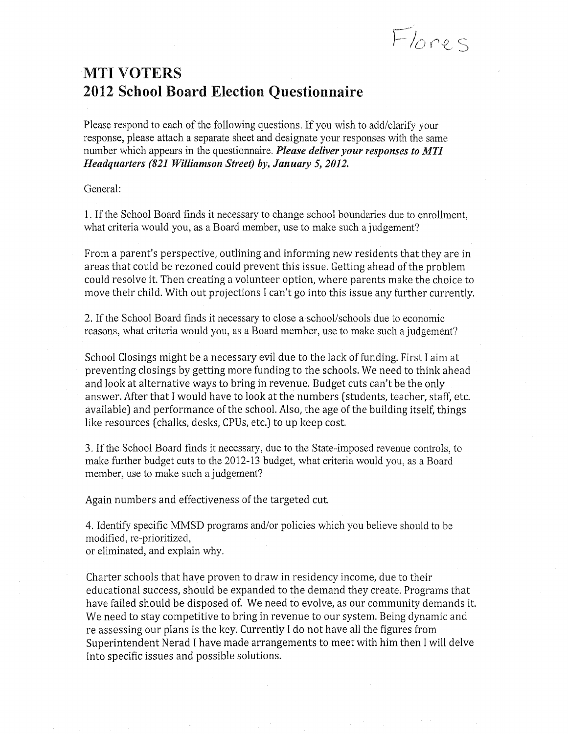Flores

# MTI VOTERS 2012 School Board Election Questionnaire

Please respond to each of the following questions. If you wish to add/clarify your response, please attach a separate sheet and designate your responses with the same number which appears in the questionnaire. *Please deliver your responses to MTI Headquarters (821 Williamson Street) by, January* 5, *2012.* 

General:

1. If the School Board finds it necessary to change school boundaries due to enrollment, what criteria would you, as a Board member, use to make such a judgement?

From a parent's perspective, outlining and informing new residents that they are in areas that could be rezoned could prevent this issue. Getting ahead of the problem could resolve it. Then creating a volunteer option, where parents make the choice to move their child. With out projections I can't go into this issue any further currently.

2. If the School Board finds it necessary to close a school/schools due to economic reasons, what criteria would you, as a Board member, use to make such a judgement?

School Closings might be a necessary evil due to the lack of funding. First I aim at preventing closings by getting more funding to the schools. We need to think ahead and look at alternative ways to bring in revenue. Budget cuts can't be the only answer. After that I would have to look at the numbers (students, teacher, staff, etc. available) and performance of the school. Also, the age of the building itself, things like resources (chalks, desks, CPUs, etc.) to up keep cost.

3. If the School Board finds it necessary, due to the State-imposed revenue controls, to make further budget cuts to the 2012-13 budget, what criteria would you, as a Board member, use to make such a judgement?

Again numbers and effectiveness of the targeted cut.

4. Identify specific MMSD programs and/or policies which you believe should to be modified, re-prioritized, or eliminated, and explain why.

Charter schools that have proven to draw in residency income, due to their educational success, should be expanded to the demand they create. Programs that have failed should be disposed of. We need to evolve, as our community demands it. We need to stay competitive to bring in revenue to our system. Being dynamic and re assessing our plans is the key. Currently I do not have all the figures from Superintendent Nerad I have made arrangements to meet with him then I will delve into specific issues and possible solutions.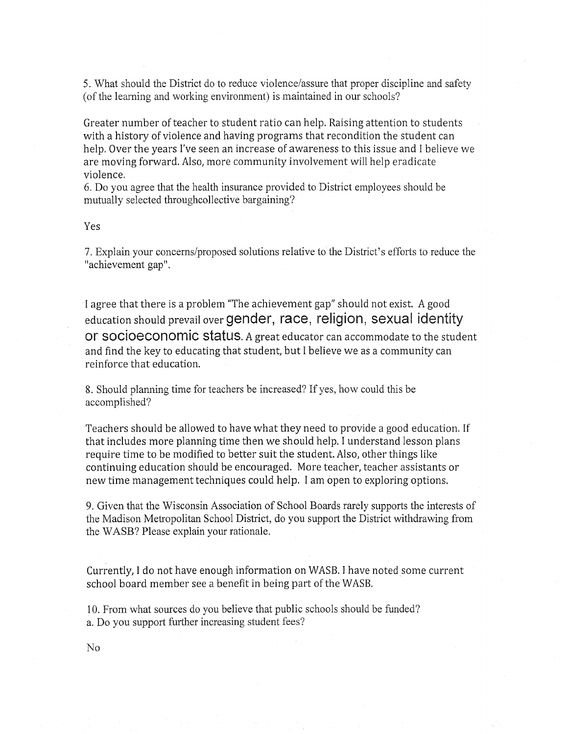5. What should the District do to reduce violence/assure that proper discipline and safety (of the learning and working environment) is maintained in our schools?

Greater number of teacher to student ratio can help. Raising attention to students with a history of violence and having programs that recondition the student can help. Over the years I've seen an increase of awareness to this issue and I believe we are moving forward. Also, more community involvement will help eradicate violence.

6. Do you agree that the health insurance provided to District employees should be mutually selected throughcollective bargaining?

# Yes

7. Explain your concerns/proposed solutions relative to the District's efforts to reduce the "achievement gap".

I agree that there is a problem "The achievement gap" should not exist. A good education should prevail over gender, race, religion, sexual identity or socioeconomic status. A great educator can accommodate to the student and find the key to educating that student, but I believe we as a community can reinforce that education.

8. Should planning time for teachers be increased? If yes, how could this be accomplished?

Teachers should be allowed to have what they need to provide a good education. If that includes more planning time then we should help. I understand lesson plans require time to be modified to better suit the student. Also, other things like continuing education should be encouraged. More teacher, teacher assistants or new time management techniques could help. I am open to exploring options.

9. Given that the Wisconsin Association of School Boards rarely supports the interests of the Madison Metropolitan School District, do you support the District withdrawing from the WASB? Please explain your rationale.

Currently, I do not have enough information on WASB. I have noted some current school board member see a benefit in being part of the WASB.

10. From what sources do you believe that public schools should be funded? a. Do you support further increasing student fees?

No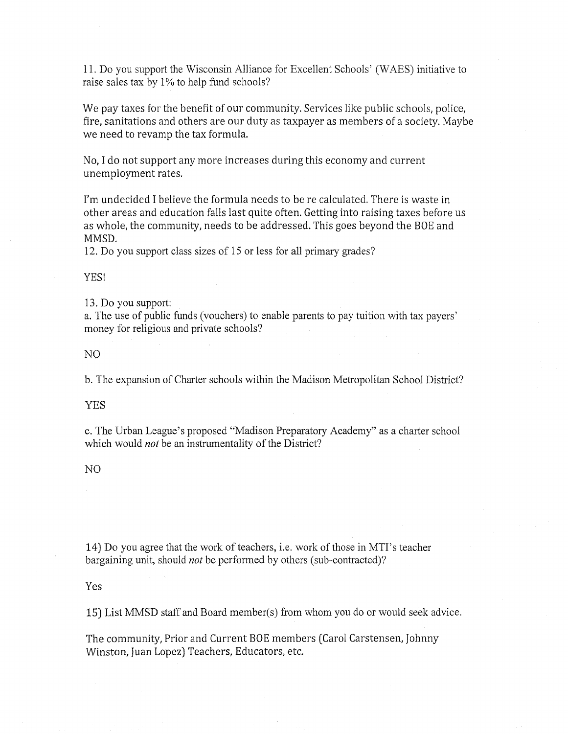11. Do you support the Wisconsin Alliance for Excellent Schools' (WAES) initiative to raise sales tax by 1% to help fund schools?

We pay taxes for the benefit of our community. Services like public schools, police, fire, sanitations and others are our duty as taxpayer as members of a society. Maybe we need to revamp the tax formula.

No, I do not support any more increases during this economy and current unemployment rates.

I'm undecided I believe the formula needs to be recalculated. There is waste in other areas and education falls last quite often. Getting into raising taxes before us as whole, the community, needs to be addressed. This goes beyond the BOE and MMSD.

12. Do you support class sizes of 15 or less for all primary grades?

#### YES!

13. Do you support:

a. The use of public funds (vouchers) to enable parents to pay tuition with tax payers' money for religious and private schools?

# NO

b. The expansion of Charter schools within the Madison Metropolitan School District?

## YES

c. The Urban League's proposed "Madison Preparatory Academy" as a charter school which would *not* be an instrumentality of the District?

#### NO

14) Do you agree that the work of teachers, i.e. work of those in MTI's teacher bargaining unit, should *not* be performed by others (sub-contracted)?

# Yes

15) List MMSD staff and Board member(s) from whom you do or would seek advice.

The community, Prior and Current BOE members (Carol Carstensen, Johnny Winston, Juan Lopez) Teachers, Educators, etc.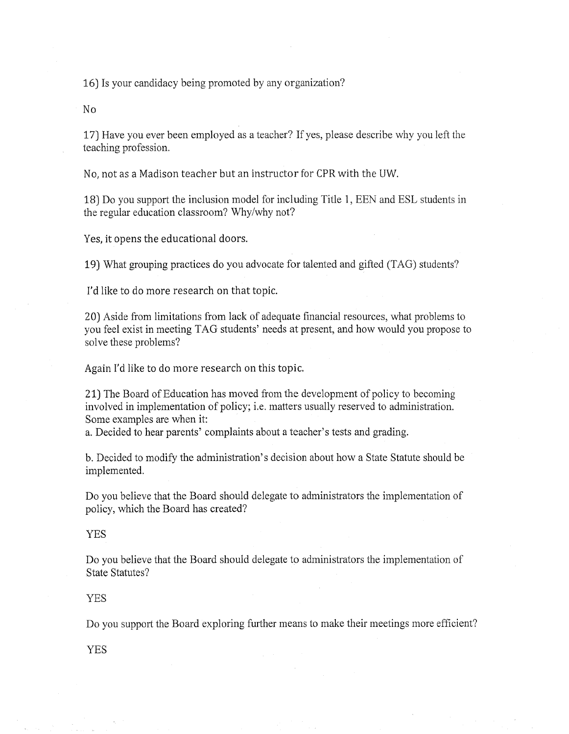16) Is your candidacy being promoted by any organization?

No

17) Have you ever been employed as a teacher? If yes, please describe why you left the teaching profession.

No, not as a Madison teacher but an instructor for CPR with the UW.

18) Do you support the inclusion model for including Title 1, EEN and ESL students in the regular education classroom? Why/why not?

Yes, it opens the educational doors.

19) What grouping practices do you advocate for talented and gifted (TAG) students?

I'd like to do more research on that topic.

20) Aside from limitations from lack of adequate financial resources, what problems to you feel exist in meeting TAG students' needs at present, and how would you propose to solve these problems?

Again I'd like to do more research on this topic.

21) The Board of Education has moved from the development of policy to becoming involved in implementation of policy; i.e. matters usually reserved to administration. Some examples are when it:

a. Decided to hear parents' complaints about a teacher's tests and grading.

b. Decided to modify the administration's decision about how a State Statute should be implemented.

Do you believe that the Board should delegate to administrators the implementation of policy, which the Board has created?

#### YES

Do you believe that the Board should delegate to administrators the implementation of State Statutes?

### YES

Do you support the Board exploring further means to make their meetings more efficient?

YES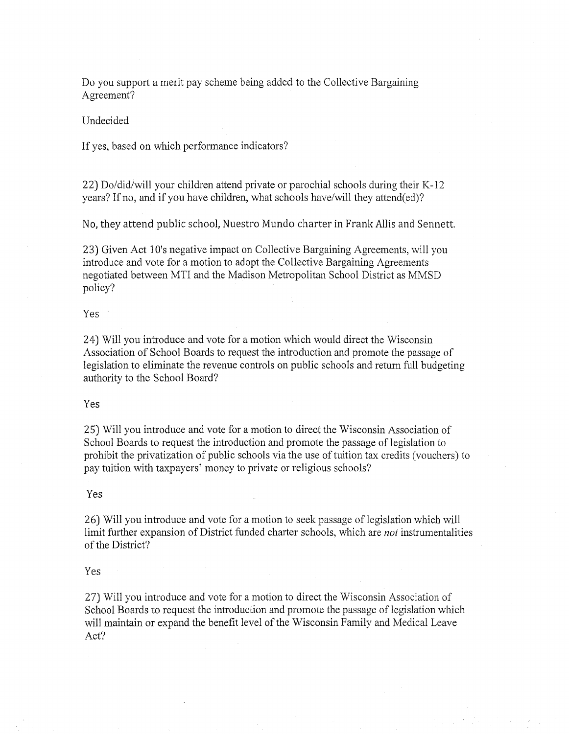Do you support a merit pay scheme being added to the Collective Bargaining Agreement?

# Undecided

If yes, based on which performance indicators?

22) Do/did/will your children attend private or parochial schools during their K-12 years? If no, and if you have children, what schools have/will they attend(ed)?

No, they attend public school, Nuestro Mundo charter in Frank Allis and Sennett.

23) Given Act 1 O's negative impact on Collective Bargaining Agreements, will you introduce and vote for a motion to adopt the Collective Bargaining Agreements negotiated between MTI and the Madison Metropolitan School District as MMSD policy?

#### Yes

24) Will you introduce and vote for a motion which would direct the Wisconsin Association of School Boards to request the introduction and promote the passage of legislation to eliminate the revenue controls on public schools and return full budgeting authority to the School Board?

### Yes

25) Will you introduce and vote for a motion to direct the Wisconsin Association of School Boards to request the introduction and promote the passage of legislation to prohibit the privatization of public schools via the use of tuition tax credits (vouchers) to pay tuition with taxpayers' money to private or religious schools?

#### Yes

26) Will you introduce and vote for a motion to seek passage of legislation which will limit further expansion of District funded charter schools, which are *not* instrumentalities of the District?

# Yes

2 7) Will you introduce and vote for a motion to direct the Wisconsin Association of School Boards to request the introduction and promote the passage of legislation which will maintain or expand the benefit level of the Wisconsin Family and Medical Leave Act?